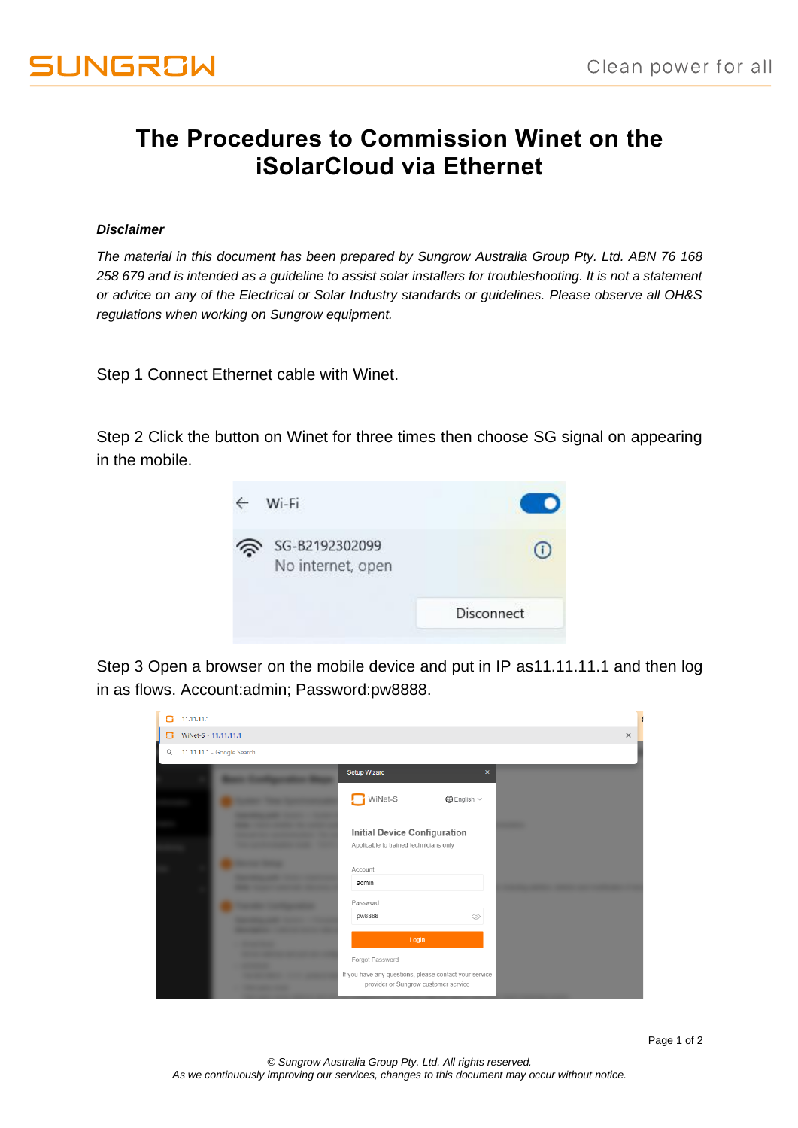## **The Procedures to Commission Winet on the iSolarCloud via Ethernet**

## *Disclaimer*

*The material in this document has been prepared by Sungrow Australia Group Pty. Ltd. ABN 76 168 258 679 and is intended as a guideline to assist solar installers for troubleshooting. It is not a statement or advice on any of the Electrical or Solar Industry standards or guidelines. Please observe all OH&S regulations when working on Sungrow equipment.*

Step 1 Connect Ethernet cable with Winet.

Step 2 Click the button on Winet for three times then choose SG signal on appearing in the mobile.



Step 3 Open a browser on the mobile device and put in IP as 11.11.11.1 and then log in as flows. Account:admin; Password:pw8888.